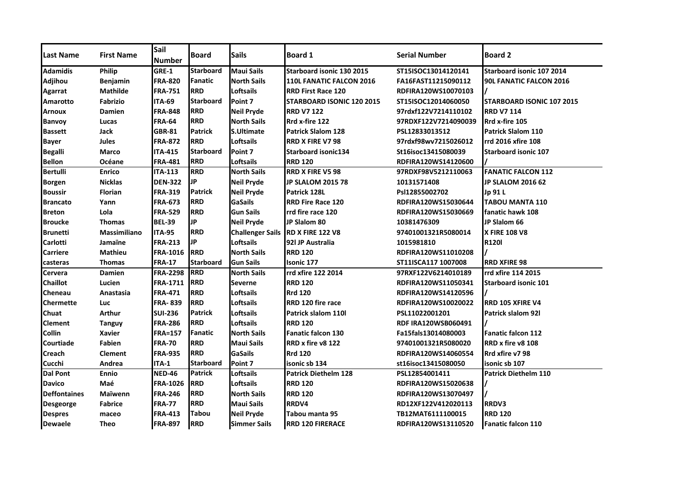| <b>Last Name</b>    | <b>First Name</b>   | Sail<br><b>Number</b> | <b>Board</b>     | <b>Sails</b>            | <b>Board 1</b>              | <b>Serial Number</b>       | <b>Board 2</b>              |
|---------------------|---------------------|-----------------------|------------------|-------------------------|-----------------------------|----------------------------|-----------------------------|
| <b>Adamidis</b>     | Philip              | GRE-1                 | <b>Starboard</b> | <b>Maui Sails</b>       | Starboard isonic 130 2015   | ST15ISOC13014120141        | Starboard isonic 107 2014   |
| <b>Adjihou</b>      | Benjamin            | <b>FRA-820</b>        | Fanatic          | <b>North Sails</b>      | 110L FANATIC FALCON 2016    | FA16FAST11215090112        | 90L FANATIC FALCON 2016     |
| Agarrat             | <b>Mathilde</b>     | <b>FRA-751</b>        | <b>RRD</b>       | Loftsails               | <b>RRD First Race 120</b>   | RDFIRA120WS10070103        |                             |
| <b>Amarotto</b>     | <b>Fabrizio</b>     | <b>ITA-69</b>         | <b>Starboard</b> | Point 7                 | STARBOARD ISONIC 120 2015   | ST15ISOC12014060050        | STARBOARD ISONIC 107 2015   |
| <b>Arnoux</b>       | <b>Damien</b>       | <b>FRA-848</b>        | <b>RRD</b>       | <b>Neil Pryde</b>       | <b>RRD V7 122</b>           | 97rdxf122V7214110102       | <b>RRD V7 114</b>           |
| <b>Banvoy</b>       | Lucas               | <b>FRA-64</b>         | <b>RRD</b>       | <b>North Sails</b>      | Rrd x-fire 122              | 97RDXF122V7214090039       | Rrd x-fire 105              |
| <b>Bassett</b>      | Jack                | <b>GBR-81</b>         | <b>Patrick</b>   | <b>S.Ultimate</b>       | <b>Patrick Slalom 128</b>   | PSL12833013512             | <b>Patrick Slalom 110</b>   |
| <b>Bayer</b>        | <b>Jules</b>        | <b>FRA-872</b>        | RRD              | Loftsails               | <b>RRD X FIRE V7 98</b>     | 97rdxf98wv7215026012       | rrd 2016 xfire 108          |
| <b>Begalli</b>      | Marco               | <b>ITA-415</b>        | <b>Starboard</b> | Point 7                 | <b>Starboard isonic134</b>  | St16isoc13415080039        | <b>Starboard isonic 107</b> |
| <b>Bellon</b>       | Océane              | <b>FRA-481</b>        | <b>RRD</b>       | Loftsails               | <b>RRD 120</b>              | RDFIRA120WS14120600        |                             |
| <b>Bertulli</b>     | <b>Enrico</b>       | <b>ITA-113</b>        | <b>RRD</b>       | <b>North Sails</b>      | <b>RRD X FIRE V5 98</b>     | 97RDXF98V5212110063        | <b>FANATIC FALCON 112</b>   |
| <b>Borgen</b>       | <b>Nicklas</b>      | <b>DEN-322</b>        | IJР              | <b>Neil Pryde</b>       | <b>JP SLALOM 2015 78</b>    | 10131571408                | <b>JP SLALOM 2016 62</b>    |
| <b>Boussir</b>      | <b>Florian</b>      | <b>FRA-319</b>        | <b>Patrick</b>   | <b>Neil Pryde</b>       | Patrick 128L                | Psl12855002702             | Jp 91 L                     |
| <b>Brancato</b>     | Yann                | <b>FRA-673</b>        | <b>RRD</b>       | <b>GaSails</b>          | <b>RRD Fire Race 120</b>    | RDFIRA120WS15030644        | <b>TABOU MANTA 110</b>      |
| <b>Breton</b>       | Lola                | <b>FRA-529</b>        | <b>RRD</b>       | <b>Gun Sails</b>        | rrd fire race 120           | RDFIRA120WS15030669        | fanatic hawk 108            |
| <b>Broucke</b>      | <b>Thomas</b>       | <b>BEL-39</b>         | IJР              | <b>Neil Pryde</b>       | JP Slalom 80                | 10381476309                | JP Slalom 66                |
| <b>Brunetti</b>     | <b>Massimiliano</b> | <b>ITA-95</b>         | <b>RRD</b>       | <b>Challenger Sails</b> | <b>RD X FIRE 122 V8</b>     | 97401001321R5080014        | <b>X FIRE 108 V8</b>        |
| <b>Carlotti</b>     | Jamaïne             | <b>FRA-213</b>        | IJР              | <b>Loftsails</b>        | 921 JP Australia            | 1015981810                 | <b>R120I</b>                |
| <b>Carriere</b>     | <b>Mathieu</b>      | <b>FRA-1016</b>       | <b>RRD</b>       | <b>North Sails</b>      | <b>RRD 120</b>              | RDFIRA120WS11010208        |                             |
| casteras            | <b>Thomas</b>       | <b>FRA-17</b>         | <b>Starboard</b> | <b>Gun Sails</b>        | <b>Isonic 177</b>           | ST11ISCA117 1007008        | <b>RRD XFIRE 98</b>         |
| Cervera             | Damien              | <b>FRA-2298</b>       | <b>RRD</b>       | <b>North Sails</b>      | rrd xfire 122 2014          | 97RXF122V6214010189        | rrd xfire 114 2015          |
| <b>Chaillot</b>     | Lucien              | <b>FRA-1711</b>       | <b>RRD</b>       | <b>Severne</b>          | <b>RRD 120</b>              | RDFIRA120WS11050341        | <b>Starboard isonic 101</b> |
| Cheneau             | Anastasia           | <b>FRA-471</b>        | <b>RRD</b>       | Loftsails               | <b>Rrd 120</b>              | RDFIRA120WS14120596        |                             |
| <b>Chermette</b>    | Luc                 | <b>FRA-839</b>        | <b>RRD</b>       | Loftsails               | <b>RRD 120 fire race</b>    | RDFIRA120WS10020022        | <b>RRD 105 XFIRE V4</b>     |
| Chuat               | <b>Arthur</b>       | <b>SUI-236</b>        | <b>Patrick</b>   | <b>Loftsails</b>        | Patrick slalom 110          | PSL11022001201             | <b>Patrick slalom 921</b>   |
| Clement             | <b>Tanguy</b>       | <b>FRA-286</b>        | <b>RRD</b>       | <b>Loftsails</b>        | <b>RRD 120</b>              | <b>RDF IRA120WSB060491</b> |                             |
| Collin              | <b>Xavier</b>       | <b>FRA=157</b>        | <b>Fanatic</b>   | <b>North Sails</b>      | <b>Fanatic falcon 130</b>   | Fa15fals13014080003        | <b>Fanatic falcon 112</b>   |
| Courtiade           | <b>Fabien</b>       | <b>FRA-70</b>         | <b>RRD</b>       | <b>Maui Sails</b>       | RRD x fire v8 122           | 97401001321R5080020        | RRD x fire v8 108           |
| <b>Creach</b>       | <b>Clement</b>      | <b>FRA-935</b>        | <b>RRD</b>       | GaSails                 | <b>Rrd 120</b>              | RDFIRA120WS14060554        | Rrd xfire v7 98             |
| Cucchi              | Andrea              | ITA-1                 | <b>Starboard</b> | Point 7                 | isonic sb 134               | st16isoc13415080050        | isonic sb 107               |
| <b>Dal Pont</b>     | <b>Ennio</b>        | <b>NED-46</b>         | <b>Patrick</b>   | Loftsails               | <b>Patrick Diethelm 128</b> | PSL12854001411             | <b>Patrick Diethelm 110</b> |
| <b>Davico</b>       | Maé                 | <b>FRA-1026</b>       | <b>RRD</b>       | <b>Loftsails</b>        | <b>RRD 120</b>              | RDFIRA120WS15020638        |                             |
| <b>Deffontaines</b> | Maïwenn             | <b>FRA-246</b>        | <b>RRD</b>       | <b>North Sails</b>      | <b>RRD 120</b>              | RDFIRA120WS13070497        |                             |
| <b>Desgeorge</b>    | <b>Fabrice</b>      | <b>FRA-77</b>         | <b>RRD</b>       | <b>Maui Sails</b>       | RRDV4                       | RD12XF122V412020113        | RRDV3                       |
| <b>Despres</b>      | maceo               | <b>FRA-413</b>        | <b>Tabou</b>     | <b>Neil Pryde</b>       | Tabou manta 95              | TB12MAT6111100015          | <b>RRD 120</b>              |
| <b>Dewaele</b>      | <b>Theo</b>         | <b>FRA-897</b>        | <b>RRD</b>       | Simmer Sails            | <b>RRD 120 FIRERACE</b>     | RDFIRA120WS13110520        | <b>Fanatic falcon 110</b>   |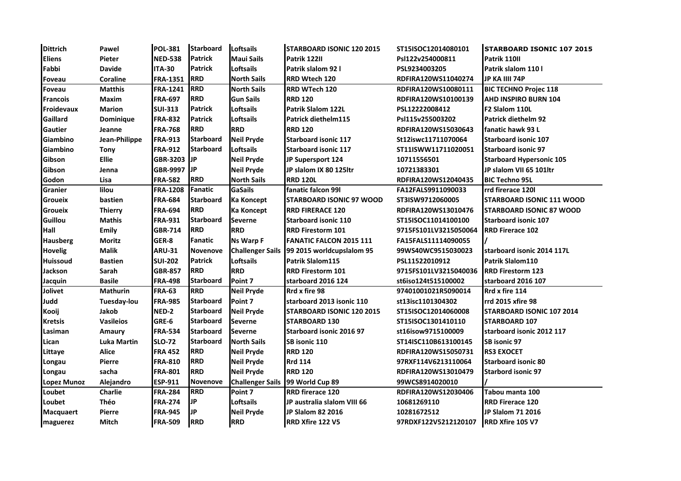| <b>Dittrich</b>    | Pawel              | <b>POL-381</b>  | <b>Starboard</b> | Loftsails               | <b>STARBOARD ISONIC 120 2015</b> | ST15ISOC12014080101   | <b>STARBOARD ISONIC 107 2015</b> |
|--------------------|--------------------|-----------------|------------------|-------------------------|----------------------------------|-----------------------|----------------------------------|
| <b>Eliens</b>      | Pieter             | <b>NED-538</b>  | <b>Patrick</b>   | <b>Maui Sails</b>       | Patrik 122II                     | Psl122v254000811      | Patrik 110II                     |
| Fabbi              | <b>Davide</b>      | <b>ITA-30</b>   | <b>Patrick</b>   | <b>Loftsails</b>        | Patrik slalom 92 l               | PSL9234003205         | Patrik slalom 110 l              |
| <b>Foveau</b>      | <b>Coraline</b>    | FRA-1351        | <b>RRD</b>       | <b>North Sails</b>      | RRD Wtech 120                    | RDFIRA120WS11040274   | JP KA IIII 74P                   |
| Foveau             | <b>Matthis</b>     | <b>FRA-1241</b> | <b>RRD</b>       | <b>North Sails</b>      | RRD WTech 120                    | RDFIRA120WS10080111   | <b>BIC TECHNO Projec 118</b>     |
| <b>Francois</b>    | Maxim              | <b>FRA-697</b>  | <b>RRD</b>       | <b>Gun Sails</b>        | <b>RRD 120</b>                   | RDFIRA120WS10100139   | AHD INSPIRO BURN 104             |
| Froidevaux         | <b>Marion</b>      | <b>SUI-313</b>  | <b>Patrick</b>   | <b>Loftsails</b>        | <b>Patrik Slalom 122L</b>        | PSL12222008412        | F <sub>2</sub> Slalom 110L       |
| Gaillard           | Dominique          | <b>FRA-832</b>  | <b>Patrick</b>   | Loftsails               | Patrick diethelm115              | Psl115v255003202      | Patrick diethelm 92              |
| <b>Gautier</b>     | Jeanne             | <b>FRA-768</b>  | <b>RRD</b>       | <b>RRD</b>              | <b>RRD 120</b>                   | RDFIRA120WS15030643   | <b>fanatic hawk 93 L</b>         |
| Giambino           | Jean-Philippe      | <b>FRA-913</b>  | <b>Starboard</b> | <b>Neil Pryde</b>       | <b>Starboard isonic 117</b>      | St12iswc11711070064   | <b>Starboard isonic 107</b>      |
| Giambino           | <b>Tony</b>        | <b>FRA-912</b>  | <b>Starboard</b> | Loftsails               | <b>Starboard isonic 117</b>      | ST11ISWW11711020051   | <b>Starboard isonic 97</b>       |
| Gibson             | <b>Ellie</b>       | GBR-3203 JP     |                  | <b>Neil Pryde</b>       | JP Supersport 124                | 10711556501           | <b>Starboard Hypersonic 105</b>  |
| Gibson             | Jenna              | GBR-9997 JP     |                  | <b>Neil Pryde</b>       | JP slalom IX 80 125ltr           | 10721383301           | JP slalom VII 65 101ltr          |
| Godon              | Lisa               | <b>FRA-582</b>  | <b>RRD</b>       | <b>North Sails</b>      | <b>RRD 120L</b>                  | RDFIRA120WS12040435   | <b>BIC Techno 95L</b>            |
| Granier            | lilou              | <b>FRA-1208</b> | Fanatic          | <b>GaSails</b>          | fanatic falcon 991               | FA12FALS9911090033    | rrd firerace 120l                |
| <b>Groueix</b>     | bastien            | <b>FRA-684</b>  | <b>Starboard</b> | <b>Ka Koncept</b>       | <b>STARBOARD ISONIC 97 WOOD</b>  | ST3ISW9712060005      | <b>STARBOARD ISONIC 111 WOOD</b> |
| <b>Groueix</b>     | <b>Thierry</b>     | <b>FRA-694</b>  | <b>RRD</b>       | <b>Ka Koncept</b>       | <b>RRD FIRERACE 120</b>          | RDFIRA120WS13010476   | <b>STARBOARD ISONIC 87 WOOD</b>  |
| <b>Guillou</b>     | <b>Mathis</b>      | <b>FRA-931</b>  | <b>Starboard</b> | <b>Severne</b>          | <b>Starboard isonic 110</b>      | ST15ISOC11014100100   | <b>Starboard isonic 107</b>      |
| <b>Hall</b>        | <b>Emily</b>       | <b>GBR-714</b>  | <b>RRD</b>       | <b>RRD</b>              | <b>RRD Firestorm 101</b>         | 9715FS101LV3215050064 | <b>RRD Firerace 102</b>          |
| <b>Hausberg</b>    | Moritz             | GER-8           | Fanatic          | <b>Ns Warp F</b>        | <b>FANATIC FALCON 2015 111</b>   | FA15FALS11114090055   |                                  |
| <b>Hovelig</b>     | <b>Malik</b>       | <b>ARU-31</b>   | <b>Novenove</b>  | <b>Challenger Sails</b> | 99 2015 worldcupslalom 95        | 99WS40WC9515030023    | starboard isonic 2014 117L       |
| <b>Huissoud</b>    | <b>Bastien</b>     | <b>SUI-202</b>  | <b>Patrick</b>   | <b>Loftsails</b>        | Patrik Slalom115                 | PSL11522010912        | Patrik Slalom110                 |
| Jackson            | Sarah              | <b>GBR-857</b>  | <b>RRD</b>       | <b>RRD</b>              | <b>RRD Firestorm 101</b>         | 9715FS101LV3215040036 | <b>RRD Firestorm 123</b>         |
| Jacquin            | <b>Basile</b>      | <b>FRA-498</b>  | <b>Starboard</b> | Point 7                 | starboard 2016 124               | st6iso124t515100002   | starboard 2016 107               |
| Jolivet            | <b>Mathurin</b>    | <b>FRA-63</b>   | <b>RRD</b>       | <b>Neil Pryde</b>       | Rrd x fire 98                    | 97401001021R5090014   | Rrd x fire 114                   |
| Judd               | Tuesday-lou        | <b>FRA-985</b>  | <b>Starboard</b> | Point 7                 | starboard 2013 isonic 110        | st13isc1101304302     | rrd 2015 xfire 98                |
| Kooij              | Jakob              | NED-2           | <b>Starboard</b> | <b>Neil Pryde</b>       | <b>STARBOARD ISONIC 120 2015</b> | ST15ISOC12014060008   | <b>STARBOARD ISONIC 107 2014</b> |
| <b>Kretsis</b>     | <b>Vasileios</b>   | GRE-6           | <b>Starboard</b> | <b>Severne</b>          | <b>STARBOARD 130</b>             | ST15ISOC1301410110    | <b>STARBOARD 107</b>             |
| Lasiman            | Amaury             | <b>FRA-534</b>  | <b>Starboard</b> | <b>Severne</b>          | Starboard isonic 2016 97         | st16isow9715100009    | starboard isonic 2012 117        |
| Lican              | <b>Luka Martin</b> | <b>SLO-72</b>   | <b>Starboard</b> | <b>North Sails</b>      | SB isonic 110                    | ST14ISC110B613100145  | SB isonic 97                     |
| Littaye            | <b>Alice</b>       | <b>FRA 452</b>  | <b>RRD</b>       | <b>Neil Pryde</b>       | <b>RRD 120</b>                   | RDFIRA120WS15050731   | <b>RS3 EXOCET</b>                |
| Longau             | Pierre             | <b>FRA-810</b>  | <b>RRD</b>       | <b>Neil Pryde</b>       | <b>Rrd 114</b>                   | 97RXF114V6213110064   | <b>Starboard isonic 80</b>       |
| Longau             | sacha              | <b>FRA-801</b>  | <b>RRD</b>       | <b>Neil Pryde</b>       | <b>RRD 120</b>                   | RDFIRA120WS13010479   | <b>Starbord isonic 97</b>        |
| <b>Lopez Munoz</b> | Alejandro          | ESP-911         | <b>Novenove</b>  | <b>Challenger Sails</b> | 99 World Cup 89                  | 99WCS8914020010       |                                  |
| Loubet             | Charlie            | <b>FRA-284</b>  | <b>RRD</b>       | Point 7                 | <b>RRD</b> firerace 120          | RDFIRA120WS12030406   | Tabou manta 100                  |
| Loubet             | Théo               | <b>FRA-274</b>  | IJР              | <b>Loftsails</b>        | JP australia slalom VIII 66      | 10681269110           | <b>RRD Firerace 120</b>          |
| <b>Macquaert</b>   | Pierre             | <b>FRA-945</b>  | IJР              | <b>Neil Pryde</b>       | JP Slalom 82 2016                | 10281672512           | JP Slalom 71 2016                |
| maguerez           | Mitch              | <b>FRA-509</b>  | <b>RRD</b>       | <b>RRD</b>              | <b>RRD Xfire 122 V5</b>          | 97RDXF122V5212120107  | <b>RRD Xfire 105 V7</b>          |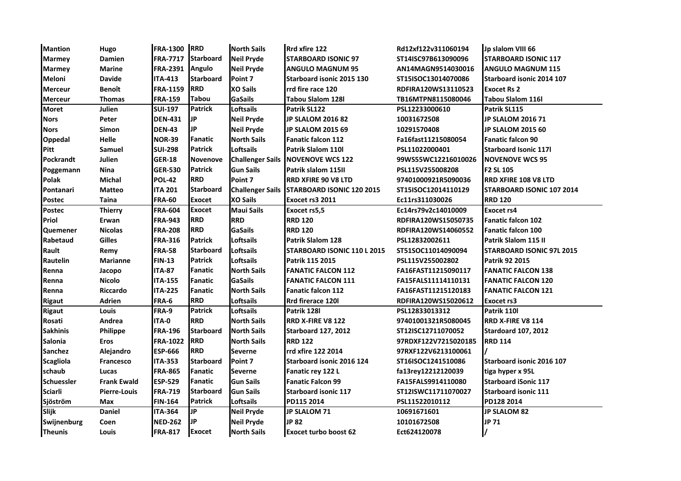| <b>Mantion</b>    | Hugo                | <b>FRA-1300 RRD</b> |                  | <b>North Sails</b>      | Rrd xfire 122                    | Rd12xf122v311060194  | Jp slalom VIII 66                |
|-------------------|---------------------|---------------------|------------------|-------------------------|----------------------------------|----------------------|----------------------------------|
| <b>Marmey</b>     | Damien              | <b>FRA-7717</b>     | <b>Starboard</b> | <b>Neil Pryde</b>       | <b>STARBOARD ISONIC 97</b>       | ST14ISC97B613090096  | <b>STARBOARD ISONIC 117</b>      |
| <b>Marmey</b>     | <b>Marine</b>       | <b>FRA-2391</b>     | <b>Angulo</b>    | <b>Neil Pryde</b>       | ANGULO MAGNUM 95                 | AN14MAGN9514030016   | <b>ANGULO MAGNUM 115</b>         |
| <b>Meloni</b>     | <b>Davide</b>       | <b>ITA-413</b>      | <b>Starboard</b> | Point 7                 | Starboard isonic 2015 130        | ST15ISOC13014070086  | Starboard isonic 2014 107        |
| <b>Merceur</b>    | <b>Benoît</b>       | <b>FRA-1159</b>     | <b>IRRD</b>      | <b>XO Sails</b>         | rrd fire race 120                | RDFIRA120WS13110523  | <b>Exocet Rs 2</b>               |
| <b>Merceur</b>    | <b>Thomas</b>       | <b>FRA-159</b>      | <b>Tabou</b>     | <b>GaSails</b>          | Tabou Slalom 128l                | TB16MTPN8115080046   | Tabou Slalom 116l                |
| <b>Moret</b>      | Julien              | <b>SUI-197</b>      | Patrick          | <b>Loftsails</b>        | Patrik SL122                     | PSL12233000610       | Patrik SL115                     |
| <b>Nors</b>       | Peter               | <b>DEN-431</b>      | IJР              | <b>Neil Pryde</b>       | <b>JP SLALOM 2016 82</b>         | 10031672508          | <b>JP SLALOM 2016 71</b>         |
| <b>Nors</b>       | Simon               | <b>DEN-43</b>       | IJР              | <b>Neil Pryde</b>       | <b>JP SLALOM 2015 69</b>         | 10291570408          | <b>JP SLALOM 2015 60</b>         |
| <b>Oppedal</b>    | Helle               | <b>NOR-39</b>       | Fanatic          | <b>North Sails</b>      | <b>Fanatic falcon 112</b>        | Fa16fast11215080054  | <b>Fanatic falcon 90</b>         |
| Pitt              | Samuel              | <b>SUI-298</b>      | <b>Patrick</b>   | Loftsails               | Patrik Slalom 110l               | PSL11022000401       | <b>Starboard Isonic 117I</b>     |
| <b>Pockrandt</b>  | Julien              | <b>GER-18</b>       | Novenove         | <b>Challenger Sails</b> | <b>NOVENOVE WCS 122</b>          | 99WS55WC12216010026  | <b>INOVENOVE WCS 95</b>          |
| Poggemann         | <b>Nina</b>         | <b>GER-530</b>      | <b>Patrick</b>   | <b>Gun Sails</b>        | Patrik slalom 115II              | PSL115V255008208     | F2 SL 105                        |
| <b>Polak</b>      | <b>Michal</b>       | <b>POL-42</b>       | <b>RRD</b>       | Point 7                 | RRD XFIRE 90 V8 LTD              | 97401000921R5090036  | <b>RRD XFIRE 108 V8 LTD</b>      |
| Pontanari         | <b>Matteo</b>       | ITA 201             | <b>Starboard</b> | <b>Challenger Sails</b> | <b>STARBOARD ISONIC 120 2015</b> | ST15ISOC12014110129  | <b>STARBOARD ISONIC 107 2014</b> |
| <b>Postec</b>     | Taina               | <b>FRA-60</b>       | <b>Exocet</b>    | <b>XO Sails</b>         | Exocet rs3 2011                  | Ec11rs311030026      | <b>RRD 120</b>                   |
| <b>Postec</b>     | <b>Thierry</b>      | <b>FRA-604</b>      | <b>Exocet</b>    | <b>Maui Sails</b>       | Exocet rs5,5                     | Ec14rs79v2c14010009  | <b>Exocet rs4</b>                |
| Priol             | Erwan               | <b>FRA-943</b>      | <b>RRD</b>       | <b>RRD</b>              | <b>RRD 120</b>                   | RDFIRA120WS15050735  | <b>Fanatic falcon 102</b>        |
| <b>Quemener</b>   | <b>Nicolas</b>      | <b>FRA-208</b>      | <b>RRD</b>       | <b>GaSails</b>          | <b>RRD 120</b>                   | RDFIRA120WS14060552  | <b>Fanatic falcon 100</b>        |
| Rabetaud          | <b>Gilles</b>       | <b>FRA-316</b>      | <b>Patrick</b>   | <b>Loftsails</b>        | <b>Patrik Slalom 128</b>         | PSL12832002611       | Patrik Slalom 115 II             |
| Rault             | Remy                | <b>FRA-58</b>       | <b>Starboard</b> | <b>Loftsails</b>        | STARBOARD ISONIC 110 L 2015      | ST51SOC11014090094   | <b>STARBOARD ISONIC 97L 2015</b> |
| Rautelin          | <b>Marianne</b>     | <b>FIN-13</b>       | <b>Patrick</b>   | Loftsails               | Patrik 115 2015                  | PSL115V255002802     | Patrik 92 2015                   |
| Renna             | Jacopo              | <b>ITA-87</b>       | Fanatic          | <b>North Sails</b>      | <b>FANATIC FALCON 112</b>        | FA16FAST11215090117  | <b>FANATIC FALCON 138</b>        |
| Renna             | <b>Nicolo</b>       | <b>ITA-155</b>      | Fanatic          | <b>GaSails</b>          | <b>FANATIC FALCON 111</b>        | FA15FALS11114110131  | <b>FANATIC FALCON 120</b>        |
| Renna             | Riccardo            | <b>ITA-225</b>      | Fanatic          | <b>North Sails</b>      | <b>Fanatic falcon 112</b>        | FA16FAST11215120183  | <b>FANATIC FALCON 121</b>        |
| <b>Rigaut</b>     | Adrien              | FRA-6               | <b>RRD</b>       | <b>Loftsails</b>        | Rrd firerace 120l                | RDFIRA120WS15020612  | <b>Exocet rs3</b>                |
| <b>Rigaut</b>     | Louis               | FRA-9               | <b>Patrick</b>   | Loftsails               | Patrik 128l                      | PSL12833013312       | Patrik 110l                      |
| Rosati            | Andrea              | ITA-0               | <b>RRD</b>       | <b>North Sails</b>      | RRD X-FIRE V8 122                | 97401001321R5080045  | <b>RRD X-FIRE V8 114</b>         |
| <b>Sakhinis</b>   | Philippe            | <b>FRA-196</b>      | <b>Starboard</b> | <b>North Sails</b>      | <b>Starboard 127, 2012</b>       | ST12ISC12711070052   | <b>Stardoard 107, 2012</b>       |
| <b>Salonia</b>    | <b>Eros</b>         | <b>FRA-1022</b>     | <b>RRD</b>       | <b>North Sails</b>      | <b>RRD 122</b>                   | 97RDXF122V7215020185 | <b>RRD 114</b>                   |
| <b>Sanchez</b>    | Alejandro           | <b>ESP-666</b>      | <b>RRD</b>       | <b>Severne</b>          | rrd xfire 122 2014               | 97RXF122V6213100061  |                                  |
| <b>Scagliola</b>  | <b>Francesco</b>    | <b>ITA-353</b>      | <b>Starboard</b> | Point 7                 | Starboard isonic 2016 124        | ST16ISOC1241510086   | Starboard isonic 2016 107        |
| schaub            | Lucas               | <b>FRA-865</b>      | Fanatic          | <b>Severne</b>          | Fanatic rey 122 L                | fa13rey12212120039   | tiga hyper x 95L                 |
| <b>Schuessler</b> | <b>Frank Ewald</b>  | <b>ESP-529</b>      | Fanatic          | <b>Gun Sails</b>        | <b>Fanatic Falcon 99</b>         | FA15FALS9914110080   | <b>Starboard iSonic 117</b>      |
| <b>Sciarli</b>    | <b>Pierre-Louis</b> | <b>FRA-719</b>      | <b>Starboard</b> | <b>Gun Sails</b>        | <b>Starboard isonic 117</b>      | ST12ISWC11711070027  | <b>Starboard isonic 111</b>      |
| Sjöström          | <b>Max</b>          | <b>FIN-164</b>      | <b>Patrick</b>   | Loftsails               | PD115 2014                       | PSL11522010112       | PD128 2014                       |
| Slijk             | Daniel              | ITA-364             | <b>JP</b>        | Neil Pryde              | <b>JP SLALOM 71</b>              | 10691671601          | <b>JP SLALOM 82</b>              |
| Swijnenburg       | Coen                | <b>NED-262</b>      | IJР              | <b>Neil Pryde</b>       | JP 82                            | 10101672508          | JP 71                            |
| <b>Theunis</b>    | Louis               | <b>FRA-817</b>      | <b>Exocet</b>    | <b>North Sails</b>      | <b>Exocet turbo boost 62</b>     | Ect624120078         |                                  |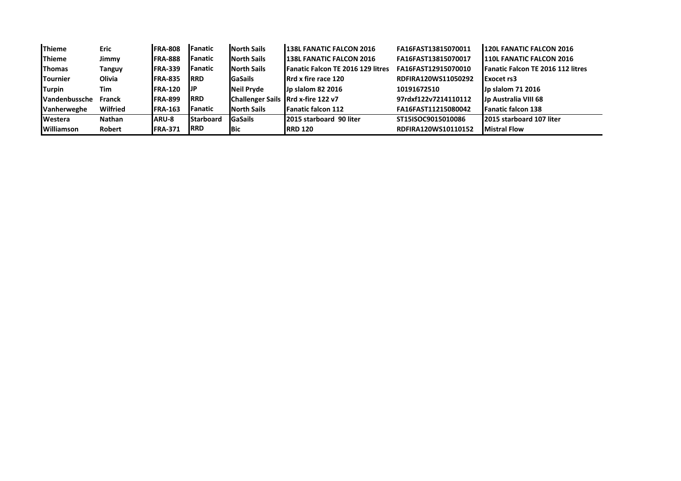| <b>Thieme</b>        | <b>Eric</b>   | <b>FRA-808</b>  | <b>lFanatic</b>  | <b>North Sails</b> | <b>138L FANATIC FALCON 2016</b>          | FA16FAST13815070011  | 120L FANATIC FALCON 2016                 |
|----------------------|---------------|-----------------|------------------|--------------------|------------------------------------------|----------------------|------------------------------------------|
| <b>Thieme</b>        | Jimmy         | <b>FRA-888</b>  | <b>Fanatic</b>   | <b>North Sails</b> | <b>138L FANATIC FALCON 2016</b>          | FA16FAST13815070017  | <b>110L FANATIC FALCON 2016</b>          |
| <b>Thomas</b>        | Tanguy        | <b>IFRA-339</b> | <b>l</b> Fanatic | <b>North Sails</b> | <b>Fanatic Falcon TE 2016 129 litres</b> | FA16FAST12915070010  | <b>Fanatic Falcon TE 2016 112 litres</b> |
| <b>Tournier</b>      | Olivia        | <b>FRA-835</b>  | <b>IRRD</b>      | <b>GaSails</b>     | <b>IRrd x fire race 120</b>              | RDFIRA120WS11050292  | Exocet rs3                               |
| <b>Turpin</b>        | Tim           | <b>FRA-120</b>  | <b>IJP</b>       | <b>Neil Pryde</b>  | <b>Jp slalom 82 2016</b>                 | 10191672510          | Jp slalom 71 2016                        |
| <b>Vandenbussche</b> | <b>Franck</b> | <b>FRA-899</b>  | <b>IRRD</b>      |                    | Challenger Sails Rrd x-fire 122 v7       | 97rdxf122v7214110112 | Jp Australia VIII 68                     |
| Vanherweghe          | Wilfried      | <b>FRA-163</b>  | <b>l</b> Fanatic | <b>North Sails</b> | <b>IFanatic falcon 112</b>               | FA16FAST11215080042  | <b>Fanatic falcon 138</b>                |
| <b>I</b> Westera     | Nathan        | <b>ARU-8</b>    | <b>Starboard</b> | <b>GaSails</b>     | <b>2015 starboard 90 liter</b>           | ST15ISOC9015010086   | 2015 starboard 107 liter                 |
| <b>Williamson</b>    | Robert        | <b>FRA-371</b>  | <b>RRD</b>       | <b>Bic</b>         | <b>IRRD 120</b>                          | RDFIRA120WS10110152  | <b>Mistral Flow</b>                      |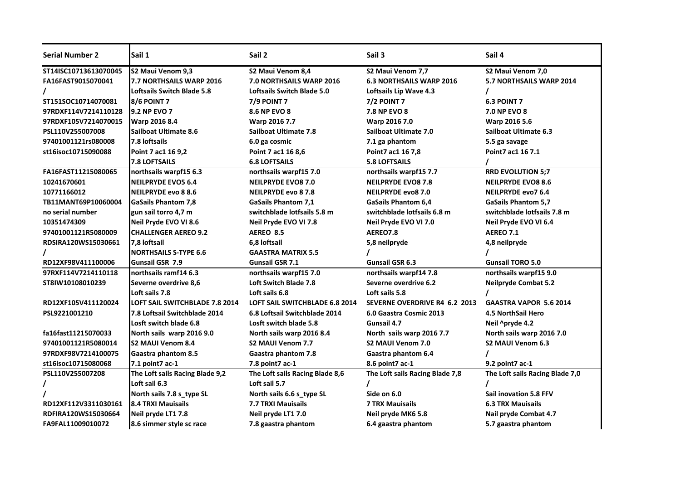| <b>Serial Number 2</b> | Sail 1                            | Sail 2                            | Sail 3                               | Sail 4                          |
|------------------------|-----------------------------------|-----------------------------------|--------------------------------------|---------------------------------|
| ST14ISC10713613070045  | S2 Maui Venom 9,3                 | S2 Maui Venom 8,4                 | S2 Maui Venom 7,7                    | S2 Maui Venom 7,0               |
| FA16FAST9015070041     | 7.7 NORTHSAILS WARP 2016          | 7.0 NORTHSAILS WARP 2016          | <b>6.3 NORTHSAILS WARP 2016</b>      | 5.7 NORTHSAILS WARP 2014        |
|                        | <b>Loftsails Switch Blade 5.8</b> | <b>Loftsails Switch Blade 5.0</b> | Loftsails Lip Wave 4.3               |                                 |
| ST151SOC10714070081    | 8/6 POINT 7                       | <b>7/9 POINT 7</b>                | <b>7/2 POINT 7</b>                   | <b>6.3 POINT 7</b>              |
| 97RDXF114V7214110128   | <b>9.2 NP EVO 7</b>               | <b>8.6 NP EVO 8</b>               | 7.8 NP EVO 8                         | <b>7.0 NP EVO 8</b>             |
| 97RDXF105V7214070015   | Warp 2016 8.4                     | Warp 2016 7.7                     | Warp 2016 7.0                        | Warp 2016 5.6                   |
| PSL110V255007008       | <b>Sailboat Ultimate 8.6</b>      | <b>Sailboat Ultimate 7.8</b>      | Sailboat Ultimate 7.0                | Sailboat Ultimate 6.3           |
| 97401001121rs080008    | 7.8 loftsails                     | 6.0 ga cosmic                     | 7.1 ga phantom                       | 5.5 ga savage                   |
| st16isoc10715090088    | Point 7 ac1 16 9,2                | Point 7 ac1 16 8,6                | Point7 ac1 16 7,8                    | Point7 ac1 16 7.1               |
|                        | 7.8 LOFTSAILS                     | <b>6.8 LOFTSAILS</b>              | <b>5.8 LOFTSAILS</b>                 |                                 |
| FA16FAST11215080065    | northsails warpf15 6.3            | northsails warpf15 7.0            | northsails warpf15 7.7               | <b>RRD EVOLUTION 5;7</b>        |
| 10241670601            | <b>NEILPRYDE EVO5 6.4</b>         | <b>NEILPRYDE EVO8 7.0</b>         | <b>NEILPRYDE EVO8 7.8</b>            | <b>NEILPRYDE EVO8 8.6</b>       |
| 10771166012            | NEILPRYDE evo 8 8.6               | <b>NEILPRYDE evo 87.8</b>         | <b>NEILPRYDE evo8 7.0</b>            | <b>NEILPRYDE evo7 6.4</b>       |
| TB11MANT69P10060004    | <b>GaSails Phantom 7,8</b>        | <b>GaSails Phantom 7,1</b>        | <b>GaSails Phantom 6,4</b>           | <b>GaSails Phantom 5,7</b>      |
| no serial number       | gun sail torro 4,7 m              | switchblade lotfsails 5.8 m       | switchblade lotfsails 6.8 m          | switchblade lotfsails 7.8 m     |
| 10351474309            | Neil Pryde EVO VI 8.6             | Neil Pryde EVO VI 7.8             | Neil Pryde EVO VI 7.0                | Neil Pryde EVO VI 6.4           |
| 97401001121R5080009    | <b>CHALLENGER AEREO 9.2</b>       | <b>AEREO 8.5</b>                  | AEREO7.8                             | <b>AEREO 7.1</b>                |
| RDSIRA120WS15030661    | 7,8 loftsail                      | 6.8 loftsail                      | 5,8 neilpryde                        | 4,8 neilpryde                   |
|                        | <b>NORTHSAILS S-TYPE 6.6</b>      | <b>GAASTRA MATRIX 5.5</b>         |                                      |                                 |
| RD12XF98V411100006     | <b>Gunsail GSR 7.9</b>            | <b>Gunsail GSR 7.1</b>            | <b>Gunsail GSR 6.3</b>               | <b>Gunsail TORO 5.0</b>         |
| 97RXF114V7214110118    | northsails ramf14 6.3             | northsails warpf15 7.0            | northsails warpf14 7.8               | northsails warpf159.0           |
| ST8IW10108010239       | Severne overdrive 8,6             | <b>Loft Switch Blade 7.8</b>      | Severne overdrive 6.2                | <b>Neilpryde Combat 5.2</b>     |
|                        | Loft sails 7.8                    | Loft sails 6.8                    | Loft sails 5.8                       |                                 |
| RD12XF105V411120024    | LOFT SAIL SWITCHBLADE 7.8 2014    | LOFT SAIL SWITCHBLADE 6.8 2014    | <b>SEVERNE OVERDRIVE R4 6.2 2013</b> | <b>GAASTRA VAPOR 5.6 2014</b>   |
| PSL9221001210          | 7.8 Loftsail Switchblade 2014     | 6.8 Loftsail Switchblade 2014     | 6.0 Gaastra Cosmic 2013              | <b>4.5 NorthSail Hero</b>       |
|                        | Losft switch blade 6.8            | Losft switch blade 5.8            | Gunsail 4.7                          | Neil ^pryde 4.2                 |
| fa16fast11215070033    | North sails warp 2016 9.0         | North sails warp 2016 8.4         | North sails warp 2016 7.7            | North sails warp 2016 7.0       |
| 97401001121R5080014    | <b>S2 MAUI Venom 8.4</b>          | S2 MAUI Venom 7.7                 | <b>S2 MAUI Venom 7.0</b>             | S2 MAUI Venom 6.3               |
| 97RDXF98V7214100075    | Gaastra phantom 8.5               | Gaastra phantom 7.8               | Gaastra phantom 6.4                  |                                 |
| st16isoc10715080068    | 7.1 point7 ac-1                   | 7.8 point7 ac-1                   | 8.6 point7 ac-1                      | 9.2 point7 ac-1                 |
| PSL110V255007208       | The Loft sails Racing Blade 9,2   | The Loft sails Racing Blade 8,6   | The Loft sails Racing Blade 7,8      | The Loft sails Racing Blade 7,0 |
|                        | Loft sail 6.3                     | Loft sail 5.7                     |                                      |                                 |
|                        | North sails 7.8 s_type SL         | North sails 6.6 s_type SL         | Side on 6.0                          | <b>Sail inovation 5.8 FFV</b>   |
| RD12XF112V3311030161   | <b>8.4 TRXI Mauisails</b>         | 7.7 TRXI Mauisails                | <b>7 TRX Mauisails</b>               | <b>6.3 TRX Mauisails</b>        |
| RDFIRA120WS15030664    | Neil pryde LT1 7.8                | Neil pryde LT1 7.0                | Neil pryde MK6 5.8                   | Nail pryde Combat 4.7           |
| FA9FAL11009010072      | 8.6 simmer style sc race          | 7.8 gaastra phantom               | 6.4 gaastra phantom                  | 5.7 gaastra phantom             |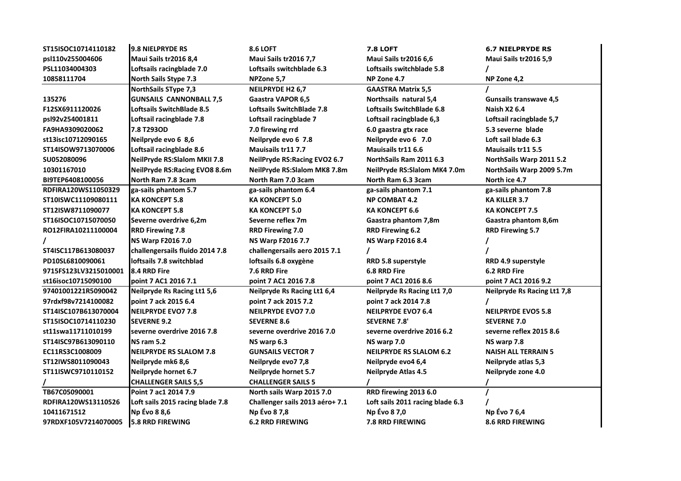| ST15ISOC10714110182   | <b>9.8 NIELPRYDE RS</b>             | <b>8.6 LOFT</b>                  | <b>7.8 LOFT</b>                    | <b>6.7 NIELPRYDE RS</b>            |
|-----------------------|-------------------------------------|----------------------------------|------------------------------------|------------------------------------|
| psl110v255004606      | Maui Sails tr2016 8,4               | <b>Maui Sails tr2016 7,7</b>     | <b>Maui Sails tr2016 6,6</b>       | Maui Sails tr2016 5,9              |
| PSL11034004303        | Loftsails racingblade 7.0           | Loftsails switchblade 6.3        | Loftsails switchblade 5.8          |                                    |
| 10858111704           | <b>North Sails Stype 7.3</b>        | NPZone 5,7                       | NP Zone 4.7                        | NP Zone 4,2                        |
|                       | <b>NorthSails SType 7,3</b>         | NEILPRYDE H2 6,7                 | <b>GAASTRA Matrix 5,5</b>          |                                    |
| 135276                | <b>GUNSAILS CANNONBALL 7,5</b>      | Gaastra VAPOR 6,5                | Northsails natural 5,4             | <b>Gunsails transwave 4,5</b>      |
| F12SX6911120026       | <b>Loftsails SwitchBlade 8.5</b>    | <b>Loftsails SwitchBlade 7.8</b> | Loftsails SwitchBlade 6.8          | <b>Naish X2 6.4</b>                |
| psl92v254001811       | Loftsail racingblade 7.8            | Loftsail racingblade 7           | Loftsail racingblade 6,3           | Loftsail racingblade 5,7           |
| FA9HA9309020062       | 7.8 T293OD                          | 7.0 firewing rrd                 | 6.0 gaastra gtx race               | 5.3 severne blade                  |
| st13isc10712090165    | Neilpryde evo 6 8,6                 | Neilpryde evo 6 7.8              | Neilpryde evo 6 7.0                | Loft sail blade 6.3                |
| ST14ISOW9713070006    | Loftsail racingblade 8.6            | <b>Mauisails tr117.7</b>         | Mauisails tr11 6.6                 | Mauisails tr11 5.5                 |
| SU052080096           | <b>NeilPryde RS:Slalom MKII 7.8</b> | NeilPryde RS: Racing EVO2 6.7    | NorthSails Ram 2011 6.3            | NorthSails Warp 2011 5.2           |
| 10301167010           | NeilPryde RS: Racing EVO8 8.6m      | NeilPryde RS:Slalom MK8 7.8m     | NeilPryde RS:Slalom MK4 7.0m       | NorthSails Warp 2009 5.7m          |
| BI9TEP6408100056      | North Ram 7.8 3cam                  | North Ram 7.0 3cam               | North Ram 6.3 3cam                 | North ice 4.7                      |
| RDFIRA120WS11050329   | ga-sails phantom 5.7                | ga-sails phantom 6.4             | ga-sails phantom 7.1               | ga-sails phantom 7.8               |
| ST10ISWC11109080111   | <b>KA KONCEPT 5.8</b>               | <b>KA KONCEPT 5.0</b>            | <b>NP COMBAT 4.2</b>               | <b>KA KILLER 3.7</b>               |
| ST12ISW8711090077     | <b>KA KONCEPT 5.8</b>               | <b>KA KONCEPT 5.0</b>            | KA KONCEPT 6.6                     | <b>KA KONCEPT 7.5</b>              |
| ST16ISOC10715070050   | Severne overdrive 6,2m              | Severne reflex 7m                | Gaastra phantom 7,8m               | Gaastra phantom 8,6m               |
| RO12FIRA10211100004   | <b>RRD Firewing 7.8</b>             | <b>RRD Firewing 7.0</b>          | <b>RRD Firewing 6.2</b>            | <b>RRD Firewing 5.7</b>            |
|                       | <b>NS Warp F2016 7.0</b>            | NS Warp F2016 7.7                | NS Warp F2016 8.4                  |                                    |
| ST4ISC117B613080037   | challengersails fluido 2014 7.8     | challengersails aero 2015 7.1    |                                    |                                    |
| PD10SL6810090061      | loftsails 7.8 switchblad            | loftsails 6.8 oxygène            | RRD 5.8 superstyle                 | RRD 4.9 superstyle                 |
| 9715FS123LV3215010001 | 8.4 RRD Fire                        | 7.6 RRD Fire                     | 6.8 RRD Fire                       | 6.2 RRD Fire                       |
| st16isoc10715090100   | point 7 AC1 2016 7.1                | point 7 AC1 2016 7.8             | point 7 AC1 2016 8.6               | point 7 AC1 2016 9.2               |
| 97401001221R5090042   | <b>Neilpryde Rs Racing Lt1 5,6</b>  | Neilpryde Rs Racing Lt1 6,4      | <b>Neilpryde Rs Racing Lt1 7,0</b> | <b>Neilpryde Rs Racing Lt1 7,8</b> |
| 97rdxf98v7214100082   | point 7 ack 2015 6.4                | point 7 ack 2015 7.2             | point 7 ack 2014 7.8               |                                    |
| ST14ISC107B613070004  | <b>NEILPRYDE EVO7 7.8</b>           | <b>NEILPRYDE EVO7 7.0</b>        | <b>NEILPRYDE EVO7 6.4</b>          | <b>NEILPRYDE EVO5 5.8</b>          |
| ST15ISOC10714110230   | <b>SEVERNE 9.2</b>                  | <b>SEVERNE 8.6</b>               | <b>SEVERNE 7.8'</b>                | <b>SEVERNE 7.0</b>                 |
| st11swa11711010199    | severne overdrive 2016 7.8          | severne overdrive 2016 7.0       | severne overdrive 2016 6.2         | severne reflex 2015 8.6            |
| ST14ISC97B613090110   | <b>NS ram 5.2</b>                   | NS warp 6.3                      | NS warp 7.0                        | NS warp 7.8                        |
| EC11RS3C1008009       | <b>NEILPRYDE RS SLALOM 7.8</b>      | <b>GUNSAILS VECTOR 7</b>         | <b>NEILPRYDE RS SLALOM 6.2</b>     | <b>NAISH ALL TERRAIN 5</b>         |
| ST12IWS8011090043     | Neilpryde mk6 8,6                   | Neilpryde evo7 7,8               | Neilpryde evo4 6,4                 | <b>Neilpryde atlas 5,3</b>         |
| ST11ISWC9710110152    | Neilpryde hornet 6.7                | Neilpryde hornet 5.7             | <b>Neilpryde Atlas 4.5</b>         | Neilpryde zone 4.0                 |
|                       | <b>CHALLENGER SAILS 5,5</b>         | <b>CHALLENGER SAILS 5</b>        |                                    |                                    |
| TB67C05090001         | Point 7 ac1 2014 7.9                | North sails Warp 2015 7.0        | RRD firewing 2013 6.0              |                                    |
| RDFIRA120WS13110526   | Loft sails 2015 racing blade 7.8    | Challenger sails 2013 aéro+ 7.1  | Loft sails 2011 racing blade 6.3   |                                    |
|                       |                                     |                                  | Np Evo 8 7,0                       | Np Évo 76,4                        |
| 10411671512           | Np Évo 8 8,6                        | Np Evo 8 7,8                     |                                    |                                    |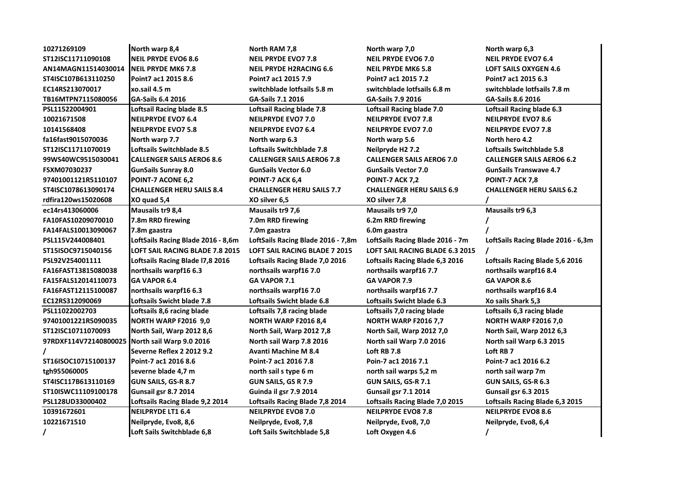| 10271269109           | North warp 8,4                         | North RAM 7,8                        | North warp 7,0                         | North warp 6,3                     |
|-----------------------|----------------------------------------|--------------------------------------|----------------------------------------|------------------------------------|
| ST12ISC11711090108    | <b>NEIL PRYDE EVO6 8.6</b>             | <b>NEIL PRYDE EVO7 7.8</b>           | <b>NEIL PRYDE EVO6 7.0</b>             | <b>NEIL PRYDE EVO7 6.4</b>         |
| AN14MAGN11514030014   | <b>NEIL PRYDE MK6 7.8</b>              | <b>NEIL PRYDE H2RACING 6.6</b>       | <b>NEIL PRYDE MK6 5.8</b>              | <b>LOFT SAILS OXYGEN 4.6</b>       |
| ST4ISC107B613110250   | Point7 ac1 2015 8.6                    | Point7 ac1 2015 7.9                  | Point7 ac1 2015 7.2                    | Point7 ac1 2015 6.3                |
| EC14RS213070017       | xo.sail 4.5 m                          | switchblade lotfsails 5.8 m          | switchblade lotfsails 6.8 m            | switchblade lotfsails 7.8 m        |
| TB16MTPN7115080056    | <b>GA-Sails 6.4 2016</b>               | GA-Sails 7.1 2016                    | <b>GA-Sails 7.9 2016</b>               | <b>GA-Sails 8.6 2016</b>           |
| PSL11522004901        | <b>Loftsail Racing blade 8.5</b>       | <b>Loftsail Racing blade 7.8</b>     | <b>Loftsail Racing blade 7.0</b>       | Loftsail Racing blade 6.3          |
| 10021671508           | <b>NEILPRYDE EVO7 6.4</b>              | <b>NEILPRYDE EVO7 7.0</b>            | <b>NEILPRYDE EVO7 7.8</b>              | <b>NEILPRYDE EVO7 8.6</b>          |
| 10141568408           | <b>NEILPRYDE EVO7 5.8</b>              | <b>NEILPRYDE EVO7 6.4</b>            | <b>NEILPRYDE EVO7 7.0</b>              | <b>NEILPRYDE EVO7 7.8</b>          |
| fa16fast9015070036    | North warp 7.7                         | North warp 6.3                       | North warp 5.6                         | North hero 4.2                     |
| ST12ISC11711070019    | Loftsails Switchblade 8.5              | <b>Loftsails Switchblade 7.8</b>     | Neilpryde H2 7.2                       | Loftsails Switchblade 5.8          |
| 99WS40WC9515030041    | <b>CALLENGER SAILS AERO6 8.6</b>       | <b>CALLENGER SAILS AERO6 7.8</b>     | <b>CALLENGER SAILS AERO6 7.0</b>       | <b>CALLENGER SAILS AERO6 6.2</b>   |
| FSXM07030237          | <b>GunSails Sunray 8.0</b>             | <b>GunSails Vector 6.0</b>           | <b>GunSails Vector 7.0</b>             | <b>GunSails Transwave 4.7</b>      |
| 97401001121R5110107   | POINT-7 ACONE 6,2                      | POINT-7 ACK 6,4                      | POINT-7 ACK 7,2                        | <b>POINT-7 ACK 7,8</b>             |
| ST4ISC1078613090174   | <b>CHALLENGER HERU SAILS 8.4</b>       | <b>CHALLENGER HERU SAILS 7.7</b>     | <b>CHALLENGER HERU SAILS 6.9</b>       | <b>CHALLENGER HERU SAILS 6.2</b>   |
| rdfira120ws15020608   | XO quad 5,4                            | XO silver 6,5                        | XO silver 7,8                          |                                    |
| ec14rs413060006       | Mausails tr9 8,4                       | Mausails tr9 7,6                     | Mausails tr9 7,0                       | Mausails tr9 6,3                   |
| FA10FAS10209070010    | 7.8m RRD firewing                      | 7.0m RRD firewing                    | 6.2m RRD firewing                      |                                    |
| FA14FALS10013090067   | 7.8m gaastra                           | 7.0m gaastra                         | 6.0m gaastra                           |                                    |
| PSL115V244008401      | LoftSails Racing Blade 2016 - 8,6m     | LoftSails Racing Blade 2016 - 7,8m   | LoftSails Racing Blade 2016 - 7m       | LoftSails Racing Blade 2016 - 6,3m |
| ST15ISOC9715040156    | <b>LOFT SAIL RACING BLADE 7.8 2015</b> | <b>LOFT SAIL RACING BLADE 7 2015</b> | <b>LOFT SAIL RACING BLADE 6.3 2015</b> |                                    |
| PSL92V254001111       | Loftsails Racing Blade 17,8 2016       | Loftsails Racing Blade 7,0 2016      | Loftsails Racing Blade 6,3 2016        | Loftsails Racing Blade 5,6 2016    |
| FA16FAST13815080038   | northsails warpf16 6.3                 | northsails warpf16 7.0               | northsails warpf16 7.7                 | northsails warpf168.4              |
| FA15FALS12014110073   | <b>GA VAPOR 6.4</b>                    | GA VAPOR 7.1                         | GA VAPOR 7.9                           | <b>GA VAPOR 8.6</b>                |
| FA16FAST12115100087   | northsails warpf16 6.3                 | northsails warpf16 7.0               | northsails warpf16 7.7                 | northsails warpf168.4              |
| EC12RS312090069       | Loftsails Swicht blade 7.8             | Loftsails Swicht blade 6.8           | Loftsails Swicht blade 6.3             | Xo sails Shark 5,3                 |
| PSL11022002703        | Loftsails 8,6 racing blade             | Loftsails 7,8 racing blade           | Loftsails 7,0 racing blade             | Loftsails 6,3 racing blade         |
| 97401001221R5090035   | <b>NORTH WARP F2016 9,0</b>            | <b>NORTH WARP F2016 8,4</b>          | <b>NORTH WARP F2016 7,7</b>            | <b>NORTH WARP F2016 7,0</b>        |
| ST12ISC10711070093    | North Sail, Warp 2012 8,6              | North Sail, Warp 2012 7,8            | North Sail, Warp 2012 7,0              | North Sail, Warp 2012 6,3          |
| 97RDXF114V72140800025 | North sail Warp 9.0 2016               | North sail Warp 7.8 2016             | North sail Warp 7.0 2016               | North sail Warp 6.3 2015           |
|                       | Severne Reflex 2 2012 9.2              | <b>Avanti Machine M 8.4</b>          | Loft RB 7.8                            | Loft RB 7                          |
| ST16ISOC10715100137   | Point-7 ac1 2016 8.6                   | Point-7 ac1 2016 7.8                 | Poin-7 ac1 2016 7.1                    | Point-7 ac1 2016 6.2               |
| tgh955060005          | severne blade 4,7 m                    | north sail s type 6 m                | north sail warps 5,2 m                 | north sail warp 7m                 |
| ST4ISC117B613110169   | <b>GUN SAILS, GS-R 8.7</b>             | <b>GUN SAILS, GS R 7.9</b>           | <b>GUN SAILS, GS-R 7.1</b>             | GUN SAILS, GS-R 6.3                |
| ST10ISWC11109100178   | Gunsail gsr 8.7 2014                   | Guinda il gsr 7.9 2014               | Gunsail gsr 7.1 2014                   | Gunsail gsr 6.3 2015               |
| PSL128UD33000402      | Loftsails Racing Blade 9,2 2014        | Loftsails Racing Blade 7,8 2014      | Loftsails Racing Blade 7,0 2015        | Loftsails Racing Blade 6,3 2015    |
| 10391672601           | <b>NEILPRYDE LT1 6.4</b>               | <b>NEILPRYDE EVO8 7.0</b>            | <b>NEILPRYDE EVO8 7.8</b>              | <b>NEILPRYDE EVO8 8.6</b>          |
| 10221671510           | Neilpryde, Evo8, 8,6                   | Neilpryde, Evo8, 7,8                 | Neilpryde, Evo8, 7,0                   | Neilpryde, Evo8, 6,4               |
|                       | Loft Sails Switchblade 6,8             | Loft Sails Switchblade 5,8           | Loft Oxygen 4.6                        |                                    |